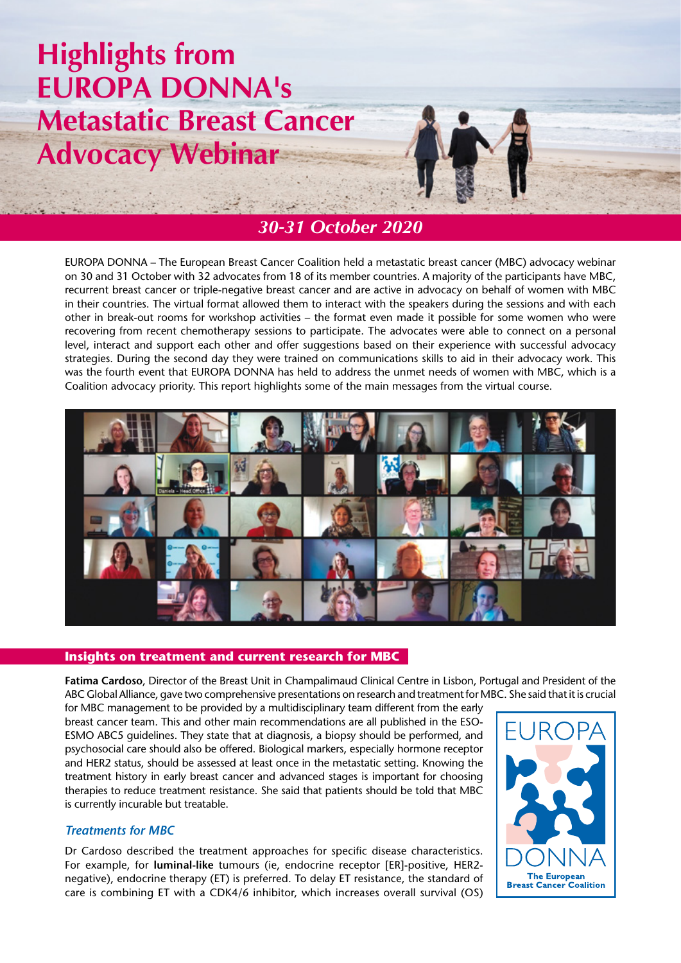# **Highlights from EUROPA DONNA's Metastatic Breast Cancer Advocacy Webinar**



## *30-31 October 2020*

EUROPA DONNA – The European Breast Cancer Coalition held a metastatic breast cancer (MBC) advocacy webinar on 30 and 31 October with 32 advocates from 18 of its member countries. A majority of the participants have MBC, recurrent breast cancer or triple-negative breast cancer and are active in advocacy on behalf of women with MBC in their countries. The virtual format allowed them to interact with the speakers during the sessions and with each other in break-out rooms for workshop activities – the format even made it possible for some women who were recovering from recent chemotherapy sessions to participate. The advocates were able to connect on a personal level, interact and support each other and offer suggestions based on their experience with successful advocacy strategies. During the second day they were trained on communications skills to aid in their advocacy work. This was the fourth event that EUROPA DONNA has held to address the unmet needs of women with MBC, which is a Coalition advocacy priority. This report highlights some of the main messages from the virtual course.



#### **Insights on treatment and current research for MBC**

**Fatima Cardoso**, Director of the Breast Unit in Champalimaud Clinical Centre in Lisbon, Portugal and President of the ABC Global Alliance, gave two comprehensive presentations on research and treatment for MBC. She said that it is crucial

for MBC management to be provided by a multidisciplinary team different from the early breast cancer team. This and other main recommendations are all published in the ESO-ESMO ABC5 guidelines. They state that at diagnosis, a biopsy should be performed, and psychosocial care should also be offered. Biological markers, especially hormone receptor and HER2 status, should be assessed at least once in the metastatic setting. Knowing the treatment history in early breast cancer and advanced stages is important for choosing therapies to reduce treatment resistance. She said that patients should be told that MBC is currently incurable but treatable.

### *Treatments for MBC*

Dr Cardoso described the treatment approaches for specific disease characteristics. For example, for **luminal-like** tumours (ie, endocrine receptor [ER]-positive, HER2 negative), endocrine therapy (ET) is preferred. To delay ET resistance, the standard of care is combining ET with a CDK4/6 inhibitor, which increases overall survival (OS)

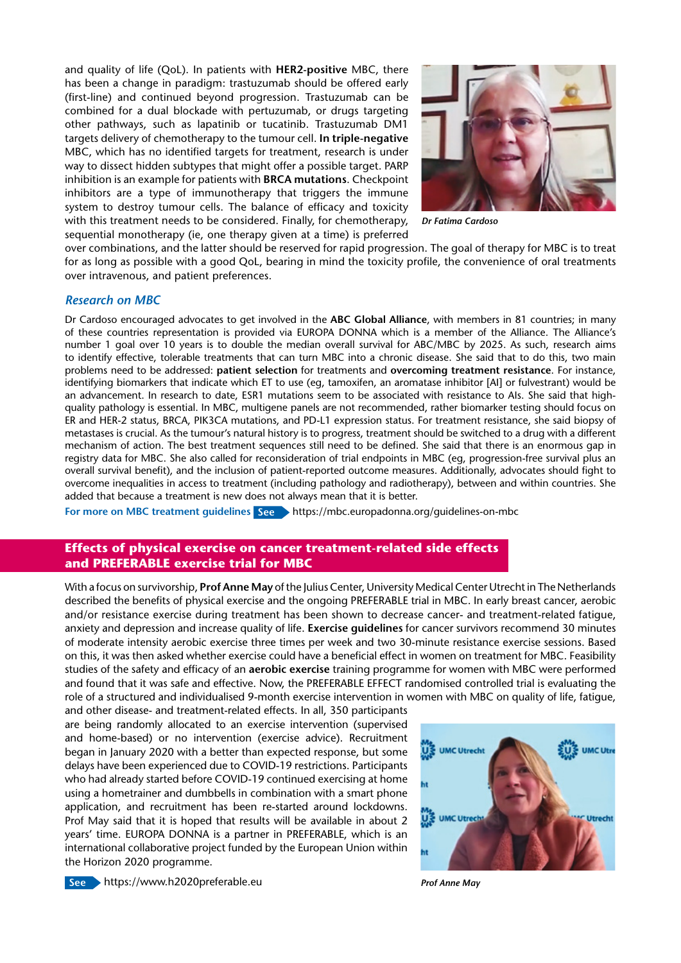and quality of life (QoL). In patients with **HER2-positive** MBC, there has been a change in paradigm: trastuzumab should be offered early (first-line) and continued beyond progression. Trastuzumab can be combined for a dual blockade with pertuzumab, or drugs targeting other pathways, such as lapatinib or tucatinib. Trastuzumab DM1 targets delivery of chemotherapy to the tumour cell. **In triple-negative**  MBC, which has no identified targets for treatment, research is under way to dissect hidden subtypes that might offer a possible target. PARP inhibition is an example for patients with **BRCA mutations**. Checkpoint inhibitors are a type of immunotherapy that triggers the immune system to destroy tumour cells. The balance of efficacy and toxicity with this treatment needs to be considered. Finally, for chemotherapy, sequential monotherapy (ie, one therapy given at a time) is preferred



*Dr Fatima Cardoso*

over combinations, and the latter should be reserved for rapid progression. The goal of therapy for MBC is to treat for as long as possible with a good QoL, bearing in mind the toxicity profile, the convenience of oral treatments over intravenous, and patient preferences.

#### *Research on MBC*

Dr Cardoso encouraged advocates to get involved in the **ABC Global Alliance**, with members in 81 countries; in many of these countries representation is provided via EUROPA DONNA which is a member of the Alliance. The Alliance's number 1 goal over 10 years is to double the median overall survival for ABC/MBC by 2025. As such, research aims to identify effective, tolerable treatments that can turn MBC into a chronic disease. She said that to do this, two main problems need to be addressed: **patient selection** for treatments and **overcoming treatment resistance**. For instance, identifying biomarkers that indicate which ET to use (eg, tamoxifen, an aromatase inhibitor [AI] or fulvestrant) would be an advancement. In research to date, ESR1 mutations seem to be associated with resistance to AIs. She said that highquality pathology is essential. In MBC, multigene panels are not recommended, rather biomarker testing should focus on ER and HER-2 status, BRCA, PIK3CA mutations, and PD-L1 expression status. For treatment resistance, she said biopsy of metastases is crucial. As the tumour's natural history is to progress, treatment should be switched to a drug with a different mechanism of action. The best treatment sequences still need to be defined. She said that there is an enormous gap in registry data for MBC. She also called for reconsideration of trial endpoints in MBC (eg, progression-free survival plus an overall survival benefit), and the inclusion of patient-reported outcome measures. Additionally, advocates should fight to overcome inequalities in access to treatment (including pathology and radiotherapy), between and within countries. She added that because a treatment is new does not always mean that it is better.

**For more on MBC treatment guidelines See** https://mbc.europadonna.org/guidelines-on-mbc

#### **Effects of physical exercise on cancer treatment-related side effects and PREFERABLE exercise trial for MBC**

With a focus on survivorship, **Prof Anne May** of the Julius Center, University Medical Center Utrecht in The Netherlands described the benefits of physical exercise and the ongoing PREFERABLE trial in MBC. In early breast cancer, aerobic and/or resistance exercise during treatment has been shown to decrease cancer- and treatment-related fatigue, anxiety and depression and increase quality of life. **Exercise guidelines** for cancer survivors recommend 30 minutes of moderate intensity aerobic exercise three times per week and two 30-minute resistance exercise sessions. Based on this, it was then asked whether exercise could have a beneficial effect in women on treatment for MBC. Feasibility studies of the safety and efficacy of an **aerobic exercise** training programme for women with MBC were performed and found that it was safe and effective. Now, the PREFERABLE EFFECT randomised controlled trial is evaluating the role of a structured and individualised 9-month exercise intervention in women with MBC on quality of life, fatigue,

and other disease- and treatment-related effects. In all, 350 participants are being randomly allocated to an exercise intervention (supervised and home-based) or no intervention (exercise advice). Recruitment began in January 2020 with a better than expected response, but some delays have been experienced due to COVID-19 restrictions. Participants who had already started before COVID-19 continued exercising at home using a hometrainer and dumbbells in combination with a smart phone application, and recruitment has been re-started around lockdowns. Prof May said that it is hoped that results will be available in about 2 years' time. EUROPA DONNA is a partner in PREFERABLE, which is an international collaborative project funded by the European Union within the Horizon 2020 programme.



**See** https://www.h2020preferable.eu *Prof Anne May*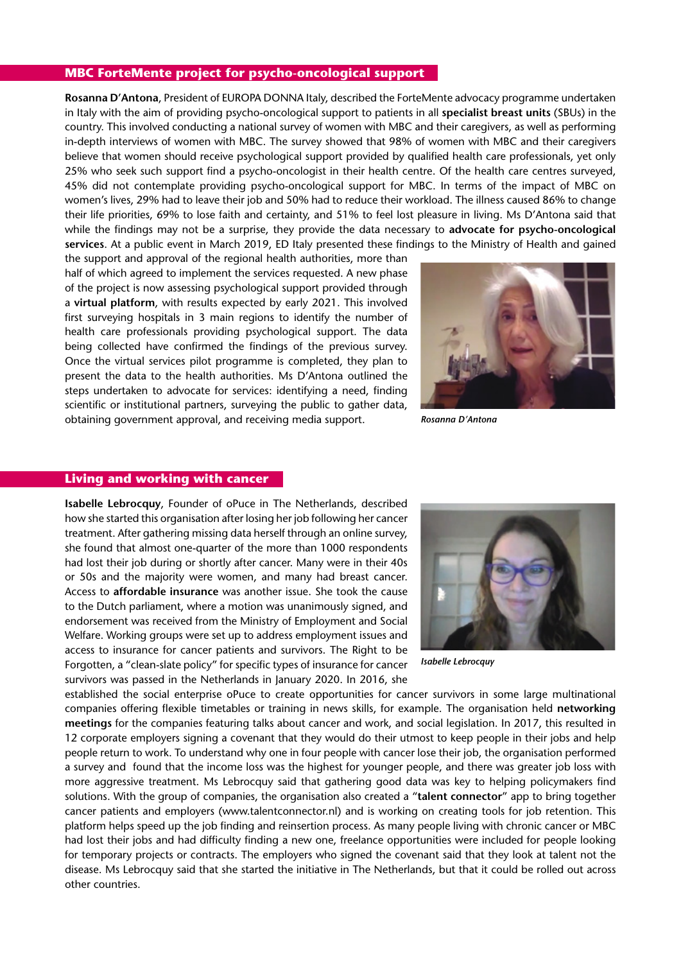#### **MBC ForteMente project for psycho-oncological support**

**Rosanna D'Antona**, President of EUROPA DONNA Italy, described the ForteMente advocacy programme undertaken in Italy with the aim of providing psycho-oncological support to patients in all **specialist breast units** (SBUs) in the country. This involved conducting a national survey of women with MBC and their caregivers, as well as performing in-depth interviews of women with MBC. The survey showed that 98% of women with MBC and their caregivers believe that women should receive psychological support provided by qualified health care professionals, yet only 25% who seek such support find a psycho-oncologist in their health centre. Of the health care centres surveyed, 45% did not contemplate providing psycho-oncological support for MBC. In terms of the impact of MBC on women's lives, 29% had to leave their job and 50% had to reduce their workload. The illness caused 86% to change their life priorities, 69% to lose faith and certainty, and 51% to feel lost pleasure in living. Ms D'Antona said that while the findings may not be a surprise, they provide the data necessary to **advocate for psycho-oncological services**. At a public event in March 2019, ED Italy presented these findings to the Ministry of Health and gained

the support and approval of the regional health authorities, more than half of which agreed to implement the services requested. A new phase of the project is now assessing psychological support provided through a **virtual platform**, with results expected by early 2021. This involved first surveying hospitals in 3 main regions to identify the number of health care professionals providing psychological support. The data being collected have confirmed the findings of the previous survey. Once the virtual services pilot programme is completed, they plan to present the data to the health authorities. Ms D'Antona outlined the steps undertaken to advocate for services: identifying a need, finding scientific or institutional partners, surveying the public to gather data, obtaining government approval, and receiving media support.



*Rosanna D'Antona*

#### **Living and working with cancer**

**Isabelle Lebrocquy**, Founder of oPuce in The Netherlands, described how she started this organisation after losing her job following her cancer treatment. After gathering missing data herself through an online survey, she found that almost one-quarter of the more than 1000 respondents had lost their job during or shortly after cancer. Many were in their 40s or 50s and the majority were women, and many had breast cancer. Access to **affordable insurance** was another issue. She took the cause to the Dutch parliament, where a motion was unanimously signed, and endorsement was received from the Ministry of Employment and Social Welfare. Working groups were set up to address employment issues and access to insurance for cancer patients and survivors. The Right to be Forgotten, a "clean-slate policy" for specific types of insurance for cancer survivors was passed in the Netherlands in January 2020. In 2016, she



*Isabelle Lebrocquy*

established the social enterprise oPuce to create opportunities for cancer survivors in some large multinational companies offering flexible timetables or training in news skills, for example. The organisation held **networking meetings** for the companies featuring talks about cancer and work, and social legislation. In 2017, this resulted in 12 corporate employers signing a covenant that they would do their utmost to keep people in their jobs and help people return to work. To understand why one in four people with cancer lose their job, the organisation performed a survey and found that the income loss was the highest for younger people, and there was greater job loss with more aggressive treatment. Ms Lebrocquy said that gathering good data was key to helping policymakers find solutions. With the group of companies, the organisation also created a "**talent connector**" app to bring together cancer patients and employers (www.talentconnector.nl) and is working on creating tools for job retention. This platform helps speed up the job finding and reinsertion process. As many people living with chronic cancer or MBC had lost their jobs and had difficulty finding a new one, freelance opportunities were included for people looking for temporary projects or contracts. The employers who signed the covenant said that they look at talent not the disease. Ms Lebrocquy said that she started the initiative in The Netherlands, but that it could be rolled out across other countries.